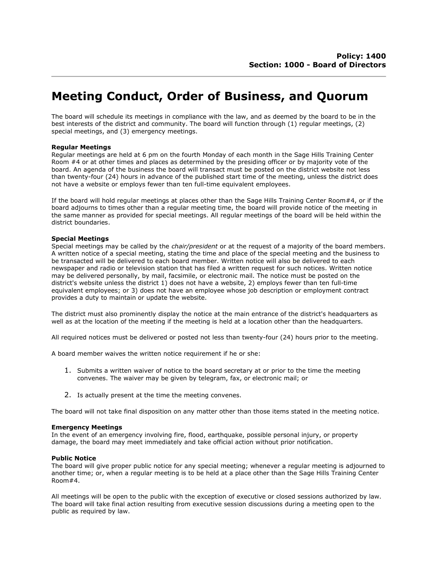# Meeting Conduct, Order of Business, and Quorum

The board will schedule its meetings in compliance with the law, and as deemed by the board to be in the best interests of the district and community. The board will function through (1) regular meetings, (2) special meetings, and (3) emergency meetings.

## Regular Meetings

Regular meetings are held at 6 pm on the fourth Monday of each month in the Sage Hills Training Center Room #4 or at other times and places as determined by the presiding officer or by majority vote of the board. An agenda of the business the board will transact must be posted on the district website not less than twenty-four (24) hours in advance of the published start time of the meeting, unless the district does not have a website or employs fewer than ten full-time equivalent employees.

If the board will hold regular meetings at places other than the Sage Hills Training Center Room#4, or if the board adjourns to times other than a regular meeting time, the board will provide notice of the meeting in the same manner as provided for special meetings. All regular meetings of the board will be held within the district boundaries.

### Special Meetings

Special meetings may be called by the *chair/president* or at the request of a majority of the board members. A written notice of a special meeting, stating the time and place of the special meeting and the business to be transacted will be delivered to each board member. Written notice will also be delivered to each newspaper and radio or television station that has filed a written request for such notices. Written notice may be delivered personally, by mail, facsimile, or electronic mail. The notice must be posted on the district's website unless the district 1) does not have a website, 2) employs fewer than ten full-time equivalent employees; or 3) does not have an employee whose job description or employment contract provides a duty to maintain or update the website.

The district must also prominently display the notice at the main entrance of the district's headquarters as well as at the location of the meeting if the meeting is held at a location other than the headquarters.

All required notices must be delivered or posted not less than twenty-four (24) hours prior to the meeting.

A board member waives the written notice requirement if he or she:

- 1. Submits a written waiver of notice to the board secretary at or prior to the time the meeting convenes. The waiver may be given by telegram, fax, or electronic mail; or
- 2. Is actually present at the time the meeting convenes.

The board will not take final disposition on any matter other than those items stated in the meeting notice.

#### Emergency Meetings

In the event of an emergency involving fire, flood, earthquake, possible personal injury, or property damage, the board may meet immediately and take official action without prior notification.

#### Public Notice

The board will give proper public notice for any special meeting; whenever a regular meeting is adjourned to another time; or, when a regular meeting is to be held at a place other than the Sage Hills Training Center Room#4.

All meetings will be open to the public with the exception of executive or closed sessions authorized by law. The board will take final action resulting from executive session discussions during a meeting open to the public as required by law.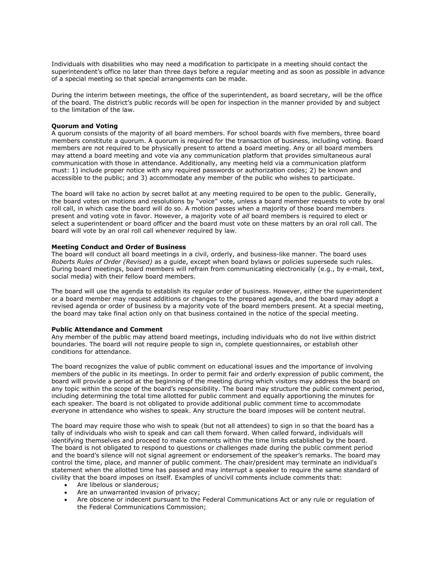Individuals with disabilities who may need a modification to participate in a meeting should contact the superintendent's office no later than three days before a regular meeting and as soon as possible in advance of a special meeting so that special arrangements can be made.

During the interim between meetings, the office of the superintendent, as board secretary, will be the office of the board. The district's public records will be open for inspection in the manner provided by and subject to the limitation of the law.

## Quorum and Voting

A quorum consists of the majority of all board members. For school boards with five members, three board members constitute a quorum. A quorum is required for the transaction of business, including voting. Board members are not required to be physically present to attend a board meeting. Any or all board members may attend a board meeting and vote via any communication platform that provides simultaneous aural communication with those in attendance. Additionally, any meeting held via a communication platform must: 1) include proper notice with any required passwords or authorization codes; 2) be known and accessible to the public; and 3) accommodate any member of the public who wishes to participate.

The board will take no action by secret ballot at any meeting required to be open to the public. Generally, the board votes on motions and resolutions by "voice" vote, unless a board member requests to vote by oral roll call, in which case the board will do so. A motion passes when a majority of those board members present and voting vote in favor. However, a majority vote of all board members is required to elect or select a superintendent or board officer and the board must vote on these matters by an oral roll call. The board will vote by an oral roll call whenever required by law.

#### Meeting Conduct and Order of Business

The board will conduct all board meetings in a civil, orderly, and business-like manner. The board uses Roberts Rules of Order (Revised) as a guide, except when board bylaws or policies supersede such rules. During board meetings, board members will refrain from communicating electronically (e.g., by e-mail, text, social media) with their fellow board members.

The board will use the agenda to establish its regular order of business. However, either the superintendent or a board member may request additions or changes to the prepared agenda, and the board may adopt a revised agenda or order of business by a majority vote of the board members present. At a special meeting, the board may take final action only on that business contained in the notice of the special meeting.

#### Public Attendance and Comment

Any member of the public may attend board meetings, including individuals who do not live within district boundaries. The board will not require people to sign in, complete questionnaires, or establish other conditions for attendance.

The board recognizes the value of public comment on educational issues and the importance of involving members of the public in its meetings. In order to permit fair and orderly expression of public comment, the board will provide a period at the beginning of the meeting during which visitors may address the board on any topic within the scope of the board's responsibility. The board may structure the public comment period, including determining the total time allotted for public comment and equally apportioning the minutes for each speaker. The board is not obligated to provide additional public comment time to accommodate everyone in attendance who wishes to speak. Any structure the board imposes will be content neutral.

The board may require those who wish to speak (but not all attendees) to sign in so that the board has a tally of individuals who wish to speak and can call them forward. When called forward, individuals will identifying themselves and proceed to make comments within the time limits established by the board. The board is not obligated to respond to questions or challenges made during the public comment period and the board's silence will not signal agreement or endorsement of the speaker's remarks. The board may control the time, place, and manner of public comment. The chair/president may terminate an individual's statement when the allotted time has passed and may interrupt a speaker to require the same standard of civility that the board imposes on itself. Examples of uncivil comments include comments that:

- Are libelous or slanderous;
- Are an unwarranted invasion of privacy;
- Are obscene or indecent pursuant to the Federal Communications Act or any rule or regulation of the Federal Communications Commission;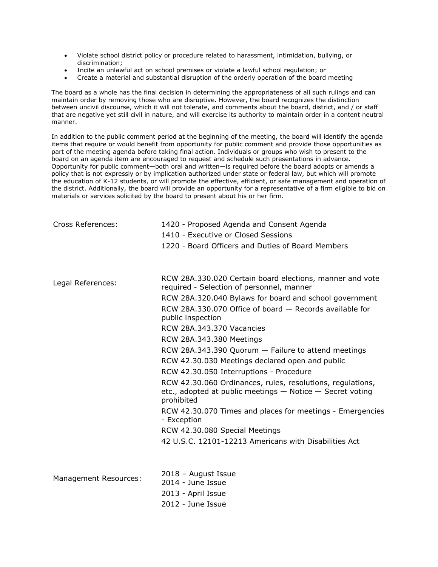- Violate school district policy or procedure related to harassment, intimidation, bullying, or discrimination;
- Incite an unlawful act on school premises or violate a lawful school regulation; or
- Create a material and substantial disruption of the orderly operation of the board meeting

The board as a whole has the final decision in determining the appropriateness of all such rulings and can maintain order by removing those who are disruptive. However, the board recognizes the distinction between uncivil discourse, which it will not tolerate, and comments about the board, district, and / or staff that are negative yet still civil in nature, and will exercise its authority to maintain order in a content neutral manner.

In addition to the public comment period at the beginning of the meeting, the board will identify the agenda items that require or would benefit from opportunity for public comment and provide those opportunities as part of the meeting agenda before taking final action. Individuals or groups who wish to present to the board on an agenda item are encouraged to request and schedule such presentations in advance. Opportunity for public comment—both oral and written—is required before the board adopts or amends a policy that is not expressly or by implication authorized under state or federal law, but which will promote the education of K-12 students, or will promote the effective, efficient, or safe management and operation of the district. Additionally, the board will provide an opportunity for a representative of a firm eligible to bid on materials or services solicited by the board to present about his or her firm.

| <b>Cross References:</b> | 1420 - Proposed Agenda and Consent Agenda<br>1410 - Executive or Closed Sessions<br>1220 - Board Officers and Duties of Board Members                                                                                                                                                                                                                                                                                                                                                                                                                                                                                                                                                                                                                                                |
|--------------------------|--------------------------------------------------------------------------------------------------------------------------------------------------------------------------------------------------------------------------------------------------------------------------------------------------------------------------------------------------------------------------------------------------------------------------------------------------------------------------------------------------------------------------------------------------------------------------------------------------------------------------------------------------------------------------------------------------------------------------------------------------------------------------------------|
| Legal References:        | RCW 28A.330.020 Certain board elections, manner and vote<br>required - Selection of personnel, manner<br>RCW 28A.320.040 Bylaws for board and school government<br>RCW 28A.330.070 Office of board - Records available for<br>public inspection<br><b>RCW 28A.343.370 Vacancies</b><br>RCW 28A.343.380 Meetings<br>RCW 28A.343.390 Quorum - Failure to attend meetings<br>RCW 42.30.030 Meetings declared open and public<br>RCW 42.30.050 Interruptions - Procedure<br>RCW 42.30.060 Ordinances, rules, resolutions, regulations,<br>etc., adopted at public meetings - Notice - Secret voting<br>prohibited<br>RCW 42.30.070 Times and places for meetings - Emergencies<br>- Exception<br>RCW 42.30.080 Special Meetings<br>42 U.S.C. 12101-12213 Americans with Disabilities Act |
| Management Resources:    | 2018 - August Issue<br>2014 - June Issue<br>2013 - April Issue<br>2012 - June Issue                                                                                                                                                                                                                                                                                                                                                                                                                                                                                                                                                                                                                                                                                                  |